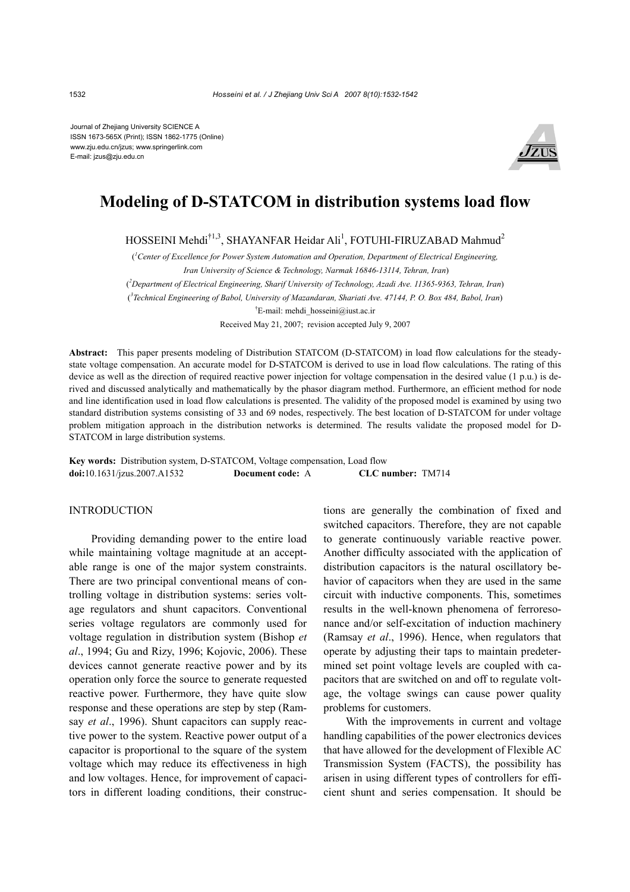Journal of Zhejiang University SCIENCE A ISSN 1673-565X (Print); ISSN 1862-1775 (Online) www.zju.edu.cn/jzus; www.springerlink.com E-mail: jzus@zju.edu.cn



# **Modeling of D-STATCOM in distribution systems load flow**

HOSSEINI Mehdi $^{\dagger1,3}$ , SHAYANFAR Heidar Ali $^1$ , FOTUHI-FIRUZABAD Mahmud $^2$ 

( *1 Center of Excellence for Power System Automation and Operation, Department of Electrical Engineering, Iran University of Science & Technology, Narmak 16846-13114, Tehran, Iran*) ( *2 Department of Electrical Engineering, Sharif University of Technology, Azadi Ave. 11365-9363, Tehran, Iran*) ( *3 Technical Engineering of Babol, University of Mazandaran, Shariati Ave. 47144, P. O. Box 484, Babol, Iran*)

† E-mail: mehdi\_hosseini@iust.ac.ir

Received May 21, 2007; revision accepted July 9, 2007

**Abstract:** This paper presents modeling of Distribution STATCOM (D-STATCOM) in load flow calculations for the steadystate voltage compensation. An accurate model for D-STATCOM is derived to use in load flow calculations. The rating of this device as well as the direction of required reactive power injection for voltage compensation in the desired value (1 p.u.) is derived and discussed analytically and mathematically by the phasor diagram method. Furthermore, an efficient method for node and line identification used in load flow calculations is presented. The validity of the proposed model is examined by using two standard distribution systems consisting of 33 and 69 nodes, respectively. The best location of D-STATCOM for under voltage problem mitigation approach in the distribution networks is determined. The results validate the proposed model for D-STATCOM in large distribution systems.

**Key words:** Distribution system, D-STATCOM, Voltage compensation, Load flow **doi:**10.1631/jzus.2007.A1532 **Document code:** A **CLC number:** TM714

# INTRODUCTION

Providing demanding power to the entire load while maintaining voltage magnitude at an acceptable range is one of the major system constraints. There are two principal conventional means of controlling voltage in distribution systems: series voltage regulators and shunt capacitors. Conventional series voltage regulators are commonly used for voltage regulation in distribution system (Bishop *et al*., 1994; Gu and Rizy, 1996; Kojovic, 2006). These devices cannot generate reactive power and by its operation only force the source to generate requested reactive power. Furthermore, they have quite slow response and these operations are step by step (Ramsay *et al*., 1996). Shunt capacitors can supply reactive power to the system. Reactive power output of a capacitor is proportional to the square of the system voltage which may reduce its effectiveness in high and low voltages. Hence, for improvement of capacitors in different loading conditions, their constructions are generally the combination of fixed and switched capacitors. Therefore, they are not capable to generate continuously variable reactive power. Another difficulty associated with the application of distribution capacitors is the natural oscillatory behavior of capacitors when they are used in the same circuit with inductive components. This, sometimes results in the well-known phenomena of ferroresonance and/or self-excitation of induction machinery (Ramsay *et al*., 1996). Hence, when regulators that operate by adjusting their taps to maintain predetermined set point voltage levels are coupled with capacitors that are switched on and off to regulate voltage, the voltage swings can cause power quality problems for customers.

With the improvements in current and voltage handling capabilities of the power electronics devices that have allowed for the development of Flexible AC Transmission System (FACTS), the possibility has arisen in using different types of controllers for efficient shunt and series compensation. It should be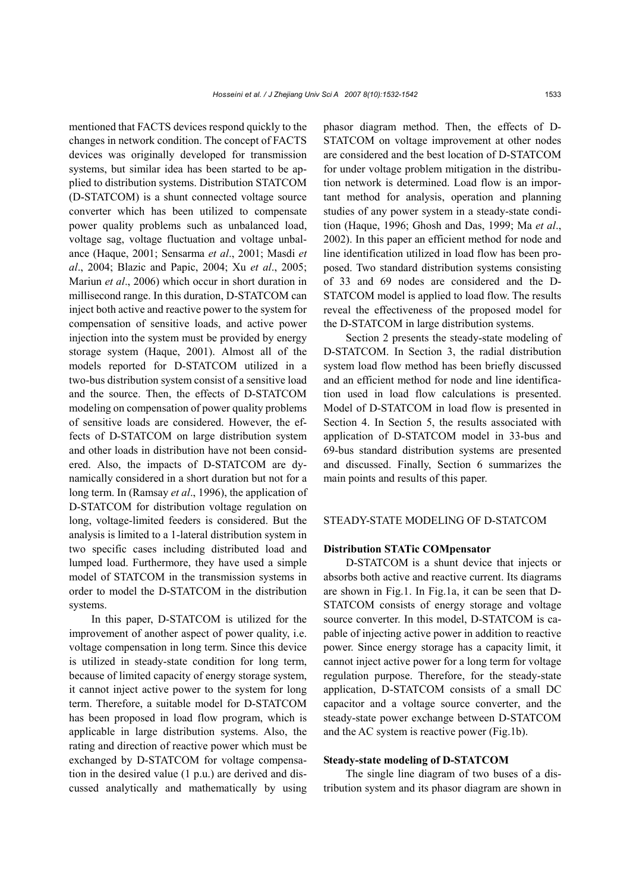mentioned that FACTS devices respond quickly to the changes in network condition. The concept of FACTS devices was originally developed for transmission systems, but similar idea has been started to be applied to distribution systems. Distribution STATCOM (D-STATCOM) is a shunt connected voltage source converter which has been utilized to compensate power quality problems such as unbalanced load, voltage sag, voltage fluctuation and voltage unbalance (Haque, 2001; Sensarma *et al*., 2001; Masdi *et al*., 2004; Blazic and Papic, 2004; Xu *et al*., 2005; Mariun *et al*., 2006) which occur in short duration in millisecond range. In this duration, D-STATCOM can inject both active and reactive power to the system for compensation of sensitive loads, and active power injection into the system must be provided by energy storage system (Haque, 2001). Almost all of the models reported for D-STATCOM utilized in a two-bus distribution system consist of a sensitive load and the source. Then, the effects of D-STATCOM modeling on compensation of power quality problems of sensitive loads are considered. However, the effects of D-STATCOM on large distribution system and other loads in distribution have not been considered. Also, the impacts of D-STATCOM are dynamically considered in a short duration but not for a long term. In (Ramsay *et al*., 1996), the application of D-STATCOM for distribution voltage regulation on long, voltage-limited feeders is considered. But the analysis is limited to a 1-lateral distribution system in two specific cases including distributed load and lumped load. Furthermore, they have used a simple model of STATCOM in the transmission systems in order to model the D-STATCOM in the distribution systems.

In this paper, D-STATCOM is utilized for the improvement of another aspect of power quality, i.e. voltage compensation in long term. Since this device is utilized in steady-state condition for long term, because of limited capacity of energy storage system, it cannot inject active power to the system for long term. Therefore, a suitable model for D-STATCOM has been proposed in load flow program, which is applicable in large distribution systems. Also, the rating and direction of reactive power which must be exchanged by D-STATCOM for voltage compensation in the desired value (1 p.u.) are derived and discussed analytically and mathematically by using phasor diagram method. Then, the effects of D-STATCOM on voltage improvement at other nodes are considered and the best location of D-STATCOM for under voltage problem mitigation in the distribution network is determined. Load flow is an important method for analysis, operation and planning studies of any power system in a steady-state condition (Haque, 1996; Ghosh and Das, 1999; Ma *et al*., 2002). In this paper an efficient method for node and line identification utilized in load flow has been proposed. Two standard distribution systems consisting of 33 and 69 nodes are considered and the D-STATCOM model is applied to load flow. The results reveal the effectiveness of the proposed model for the D-STATCOM in large distribution systems.

Section 2 presents the steady-state modeling of D-STATCOM. In Section 3, the radial distribution system load flow method has been briefly discussed and an efficient method for node and line identification used in load flow calculations is presented. Model of D-STATCOM in load flow is presented in Section 4. In Section 5, the results associated with application of D-STATCOM model in 33-bus and 69-bus standard distribution systems are presented and discussed. Finally, Section 6 summarizes the main points and results of this paper.

# STEADY-STATE MODELING OF D-STATCOM

# **Distribution STATic COMpensator**

D-STATCOM is a shunt device that injects or absorbs both active and reactive current. Its diagrams are shown in Fig.1. In Fig.1a, it can be seen that D-STATCOM consists of energy storage and voltage source converter. In this model, D-STATCOM is capable of injecting active power in addition to reactive power. Since energy storage has a capacity limit, it cannot inject active power for a long term for voltage regulation purpose. Therefore, for the steady-state application, D-STATCOM consists of a small DC capacitor and a voltage source converter, and the steady-state power exchange between D-STATCOM and the AC system is reactive power (Fig.1b).

#### **Steady-state modeling of D-STATCOM**

The single line diagram of two buses of a distribution system and its phasor diagram are shown in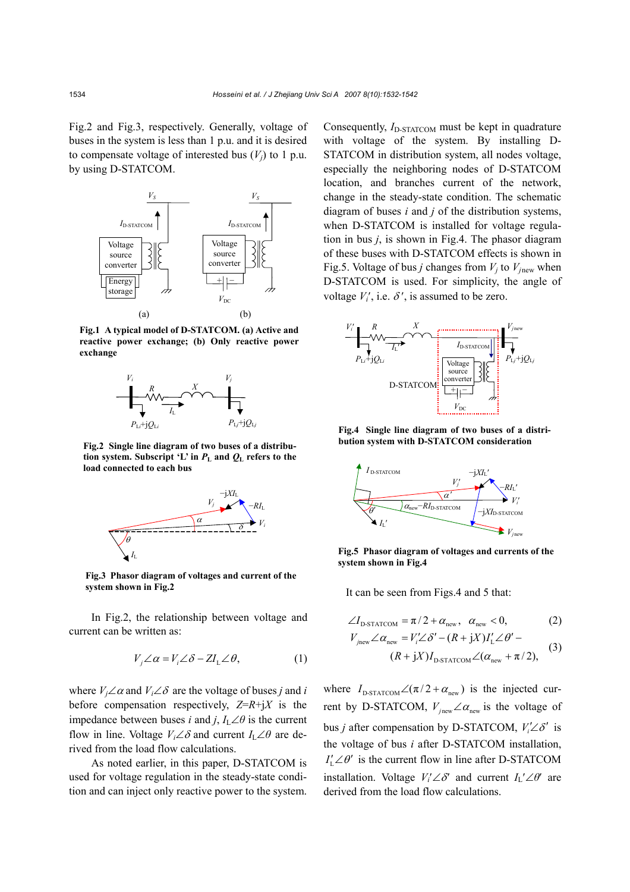Fig.2 and Fig.3, respectively. Generally, voltage of buses in the system is less than 1 p.u. and it is desired to compensate voltage of interested bus  $(V_i)$  to 1 p.u. by using D-STATCOM.



**Fig.1 A typical model of D-STATCOM. (a) Active and reactive power exchange; (b) Only reactive power exchange** 



**Fig.2 Single line diagram of two buses of a distribution system. Subscript 'L' in** *P***L and** *Q***L refers to the load connected to each bus** 



**Fig.3 Phasor diagram of voltages and current of the system shown in Fig.2**

In Fig.2, the relationship between voltage and current can be written as:

$$
V_j \angle \alpha = V_i \angle \delta - Z I_L \angle \theta, \qquad (1)
$$

where  $V_i \angle \alpha$  and  $V_i \angle \delta$  are the voltage of buses *j* and *i* before compensation respectively,  $Z=R+jX$  is the impedance between buses *i* and *j*,  $I_L \angle \theta$  is the current flow in line. Voltage  $V_i \angle \delta$  and current  $I_L \angle \theta$  are derived from the load flow calculations.

As noted earlier, in this paper, D-STATCOM is used for voltage regulation in the steady-state condition and can inject only reactive power to the system. Consequently, *I*<sub>D-STATCOM</sub> must be kept in quadrature with voltage of the system. By installing D-STATCOM in distribution system, all nodes voltage, especially the neighboring nodes of D-STATCOM location, and branches current of the network, change in the steady-state condition. The schematic diagram of buses *i* and *j* of the distribution systems, when D-STATCOM is installed for voltage regulation in bus *j*, is shown in Fig.4. The phasor diagram of these buses with D-STATCOM effects is shown in Fig.5. Voltage of bus *j* changes from  $V_j$  to  $V_{jnew}$  when D-STATCOM is used. For simplicity, the angle of voltage  $V_i'$ , i.e.  $\delta'$ , is assumed to be zero.



**Fig.4 Single line diagram of two buses of a distribution system with D-STATCOM consideration**



**Fig.5 Phasor diagram of voltages and currents of the system shown in Fig.4**

It can be seen from Figs.4 and 5 that:

$$
\angle I_{\text{D-STATCOM}} = \pi/2 + \alpha_{\text{new}}, \ \alpha_{\text{new}} < 0,\tag{2}
$$

$$
V_{jnew} \angle \alpha_{new} = V_i' \angle \delta' - (R + jX)I'_L \angle \theta' -
$$
  

$$
(R + jX)I_{D\text{-STATCOM}} \angle (\alpha_{new} + \pi/2),
$$
 (3)

where  $I_{\text{D-STATCOM}} \angle (\pi/2 + \alpha_{\text{new}})$  is the injected current by D-STATCOM,  $V_{j_{\text{new}}} \angle \alpha_{j_{\text{new}}}$  is the voltage of bus *j* after compensation by D-STATCOM,  $V_i' \angle \delta'$  is the voltage of bus *i* after D-STATCOM installation,  $I'_i \angle \theta'$  is the current flow in line after D-STATCOM installation. Voltage  $V_i' \angle \delta'$  and current  $I_l' \angle \theta'$  are derived from the load flow calculations.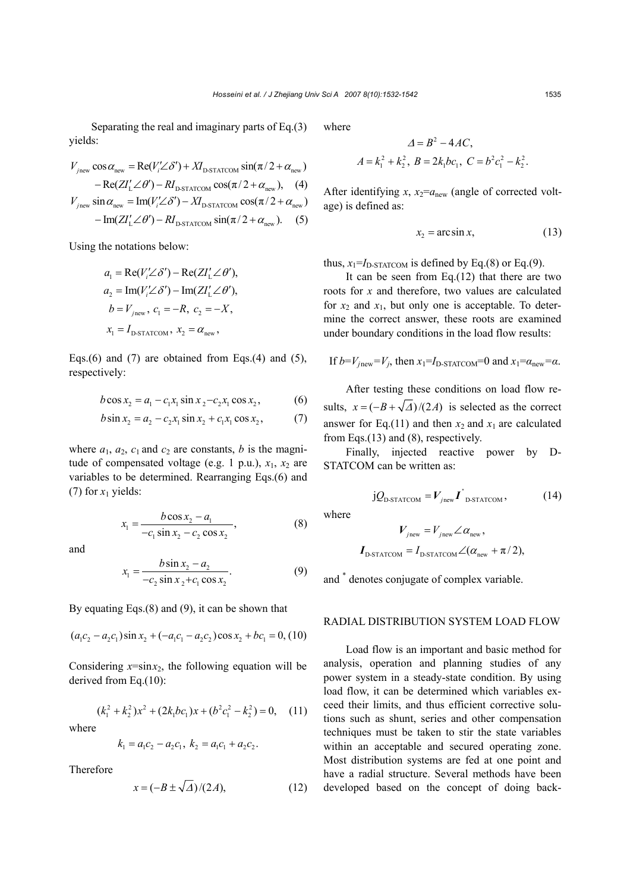Separating the real and imaginary parts of Eq.(3) yields:

$$
V_{\text{jnew}} \cos \alpha_{\text{new}} = \text{Re}(V_i' \angle \delta') + XI_{\text{DSTATCOM}} \sin(\pi/2 + \alpha_{\text{new}})
$$
  
- Re(ZI\_L' \angle \theta') – RI\_{\text{DSTATCOM}} \cos(\pi/2 + \alpha\_{\text{new}}), (4)  

$$
V_{\text{jnew}} \sin \alpha_{\text{new}} = \text{Im}(V_i' \angle \delta') - XI_{\text{DSTATCOM}} \cos(\pi/2 + \alpha_{\text{new}})
$$
  
- Im(ZI\_L' \angle \theta') – RI\_{\text{DSTATCOM}} \sin(\pi/2 + \alpha\_{\text{new}}). (5)

Using the notations below:

$$
a_1 = \text{Re}(V_i' \angle \delta') - \text{Re}(ZI'_L \angle \theta'),
$$
  
\n
$$
a_2 = \text{Im}(V_i' \angle \delta') - \text{Im}(ZI'_L \angle \theta'),
$$
  
\n
$$
b = V_{jnew}, c_1 = -R, c_2 = -X,
$$
  
\n
$$
x_1 = I_{\text{D-STATCOM}}, x_2 = \alpha_{\text{new}},
$$

Eqs.(6) and (7) are obtained from Eqs.(4) and (5), respectively:

$$
b\cos x_2 = a_1 - c_1 x_1 \sin x_2 - c_2 x_1 \cos x_2, \tag{6}
$$

$$
b\sin x_2 = a_2 - c_2 x_1 \sin x_2 + c_1 x_1 \cos x_2, \tag{7}
$$

where  $a_1$ ,  $a_2$ ,  $c_1$  and  $c_2$  are constants, *b* is the magnitude of compensated voltage (e.g. 1 p.u.),  $x_1$ ,  $x_2$  are variables to be determined. Rearranging Eqs.(6) and (7) for  $x_1$  yields:

$$
x_1 = \frac{b \cos x_2 - a_1}{-c_1 \sin x_2 - c_2 \cos x_2},
$$
 (8)

and

$$
x_1 = \frac{b \sin x_2 - a_2}{-c_2 \sin x_2 + c_1 \cos x_2}.
$$
 (9)

By equating Eqs.(8) and (9), it can be shown that

$$
(a_1c_2 - a_2c_1)\sin x_2 + (-a_1c_1 - a_2c_2)\cos x_2 + bc_1 = 0, (10)
$$

Considering  $x = \sin x_2$ , the following equation will be derived from Eq.(10):

$$
(k_1^2 + k_2^2)x^2 + (2k_1bc_1)x + (b^2c_1^2 - k_2^2) = 0, \quad (11)
$$

where

$$
k_1 = a_1 c_2 - a_2 c_1, \ k_2 = a_1 c_1 + a_2 c_2.
$$

Therefore

$$
x = \left(-B \pm \sqrt{\Delta}\right) / (2A),\tag{12}
$$

where

$$
\Delta = B^2 - 4AC,
$$
  

$$
A = k_1^2 + k_2^2, B = 2k_1bc_1, C = b^2c_1^2 - k_2^2.
$$

<sup>2</sup> <sup>∆</sup> = − *B AC* 4 ,

After identifying  $x$ ,  $x_2 = a_{\text{new}}$  (angle of corrected voltage) is defined as:

$$
x_2 = \arcsin x, \tag{13}
$$

thus,  $x_1 = I_{D-STATCOM}$  is defined by Eq.(8) or Eq.(9).

It can be seen from Eq.(12) that there are two roots for *x* and therefore, two values are calculated for  $x_2$  and  $x_1$ , but only one is acceptable. To determine the correct answer, these roots are examined under boundary conditions in the load flow results:

If 
$$
b = V_{jnew} = V_j
$$
, then  $x_1 = I_{D\text{-STATCOM}} = 0$  and  $x_1 = \alpha_{new} = \alpha$ .

After testing these conditions on load flow results,  $x = (-B + \sqrt{\Delta})/(2A)$  is selected as the correct answer for Eq.(11) and then  $x_2$  and  $x_1$  are calculated from Eqs.(13) and (8), respectively.

Finally, injected reactive power by D-STATCOM can be written as:

$$
jQ_{\text{D-STATCOM}} = V_{\text{jnew}} \boldsymbol{I}_{\text{D-STATCOM}}^{\dagger},
$$
 (14)

where

$$
V_{jnew} = V_{jnew} \angle \alpha_{new},
$$
  

$$
I_{\text{D-STATCOM}} = I_{\text{D-STATCOM}} \angle (\alpha_{new} + \pi/2),
$$

and \* denotes conjugate of complex variable.

## RADIAL DISTRIBUTION SYSTEM LOAD FLOW

Load flow is an important and basic method for analysis, operation and planning studies of any power system in a steady-state condition. By using load flow, it can be determined which variables exceed their limits, and thus efficient corrective solutions such as shunt, series and other compensation techniques must be taken to stir the state variables within an acceptable and secured operating zone. Most distribution systems are fed at one point and have a radial structure. Several methods have been developed based on the concept of doing back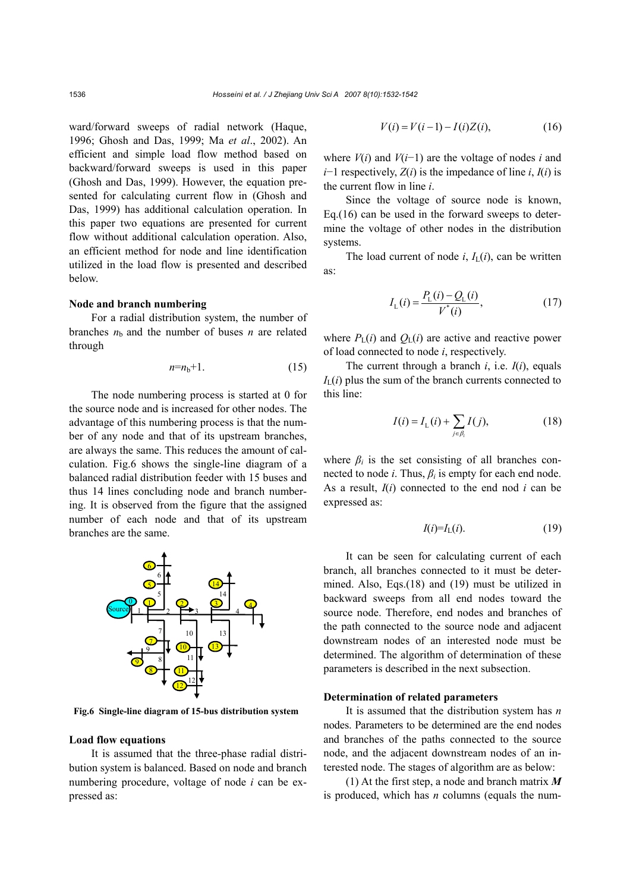ward/forward sweeps of radial network (Haque, 1996; Ghosh and Das, 1999; Ma *et al*., 2002). An efficient and simple load flow method based on backward/forward sweeps is used in this paper (Ghosh and Das, 1999). However, the equation presented for calculating current flow in (Ghosh and Das, 1999) has additional calculation operation. In this paper two equations are presented for current flow without additional calculation operation. Also, an efficient method for node and line identification utilized in the load flow is presented and described below.

## **Node and branch numbering**

For a radial distribution system, the number of branches  $n<sub>b</sub>$  and the number of buses *n* are related through

$$
n = n_b + 1. \tag{15}
$$

The node numbering process is started at 0 for the source node and is increased for other nodes. The advantage of this numbering process is that the number of any node and that of its upstream branches, are always the same. This reduces the amount of calculation. Fig.6 shows the single-line diagram of a balanced radial distribution feeder with 15 buses and thus 14 lines concluding node and branch numbering. It is observed from the figure that the assigned number of each node and that of its upstream branches are the same.



**Fig.6 Single-line diagram of 15-bus distribution system**

#### **Load flow equations**

It is assumed that the three-phase radial distribution system is balanced. Based on node and branch numbering procedure, voltage of node *i* can be expressed as:

$$
V(i) = V(i-1) - I(i)Z(i),
$$
 (16)

where  $V(i)$  and  $V(i-1)$  are the voltage of nodes *i* and *i*−1 respectively, *Z*(*i*) is the impedance of line *i*, *I*(*i*) is the current flow in line *i*.

Since the voltage of source node is known, Eq.(16) can be used in the forward sweeps to determine the voltage of other nodes in the distribution systems.

The load current of node  $i$ ,  $I_L(i)$ , can be written as:

$$
I_{\rm L}(i) = \frac{P_{\rm L}(i) - Q_{\rm L}(i)}{V^*(i)},\tag{17}
$$

where  $P_{\rm L}(i)$  and  $Q_{\rm L}(i)$  are active and reactive power of load connected to node *i*, respectively.

The current through a branch  $i$ , i.e.  $I(i)$ , equals  $I<sub>L</sub>(i)$  plus the sum of the branch currents connected to this line:

$$
I(i) = I_{L}(i) + \sum_{j \in \beta_{i}} I(j),
$$
 (18)

where  $\beta_i$  is the set consisting of all branches connected to node *i*. Thus,  $\beta_i$  is empty for each end node. As a result, *I*(*i*) connected to the end nod *i* can be expressed as:

$$
I(i)=I_{L}(i). \t(19)
$$

It can be seen for calculating current of each branch, all branches connected to it must be determined. Also, Eqs.(18) and (19) must be utilized in backward sweeps from all end nodes toward the source node. Therefore, end nodes and branches of the path connected to the source node and adjacent downstream nodes of an interested node must be determined. The algorithm of determination of these parameters is described in the next subsection.

#### **Determination of related parameters**

It is assumed that the distribution system has *n* nodes. Parameters to be determined are the end nodes and branches of the paths connected to the source node, and the adjacent downstream nodes of an interested node. The stages of algorithm are as below:

(1) At the first step, a node and branch matrix *M* is produced, which has *n* columns (equals the num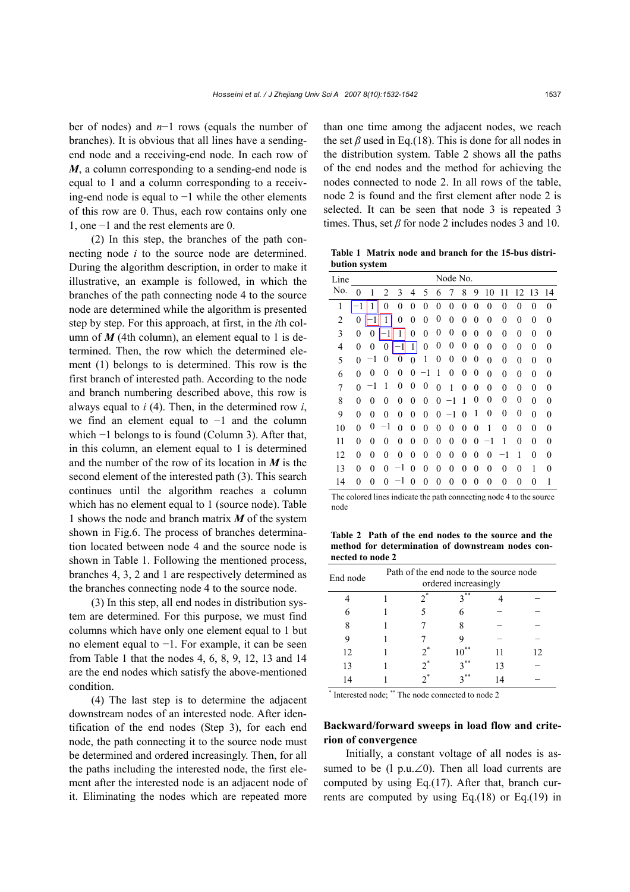ber of nodes) and *n*−1 rows (equals the number of branches). It is obvious that all lines have a sendingend node and a receiving-end node. In each row of *M*, a column corresponding to a sending-end node is equal to 1 and a column corresponding to a receiving-end node is equal to −1 while the other elements of this row are 0. Thus, each row contains only one 1, one −1 and the rest elements are 0.

(2) In this step, the branches of the path connecting node *i* to the source node are determined. During the algorithm description, in order to make it illustrative, an example is followed, in which the branches of the path connecting node 4 to the source node are determined while the algorithm is presented step by step. For this approach, at first, in the *i*th column of  $M$  (4th column), an element equal to 1 is determined. Then, the row which the determined element (1) belongs to is determined. This row is the first branch of interested path. According to the node and branch numbering described above, this row is always equal to *i* (4). Then, in the determined row *i*, we find an element equal to −1 and the column which −1 belongs to is found (Column 3). After that, in this column, an element equal to 1 is determined and the number of the row of its location in *M* is the second element of the interested path (3). This search continues until the algorithm reaches a column which has no element equal to 1 (source node). Table 1 shows the node and branch matrix *M* of the system shown in Fig.6. The process of branches determination located between node 4 and the source node is shown in Table 1. Following the mentioned process, branches 4, 3, 2 and 1 are respectively determined as the branches connecting node 4 to the source node.

(3) In this step, all end nodes in distribution system are determined. For this purpose, we must find columns which have only one element equal to 1 but no element equal to −1. For example, it can be seen from Table 1 that the nodes 4, 6, 8, 9, 12, 13 and 14 are the end nodes which satisfy the above-mentioned condition.

(4) The last step is to determine the adjacent downstream nodes of an interested node. After identification of the end nodes (Step 3), for each end node, the path connecting it to the source node must be determined and ordered increasingly. Then, for all the paths including the interested node, the first element after the interested node is an adjacent node of it. Eliminating the nodes which are repeated more

than one time among the adjacent nodes, we reach the set  $\beta$  used in Eq.(18). This is done for all nodes in the distribution system. Table 2 shows all the paths of the end nodes and the method for achieving the nodes connected to node 2. In all rows of the table, node 2 is found and the first element after node 2 is selected. It can be seen that node 3 is repeated 3 times. Thus, set  $\beta$  for node 2 includes nodes 3 and 10.

**Table 1 Matrix node and branch for the 15-bus distribution system**

| Line           |              |                |                |                |                |                | Node No.       |                |                |                  |    |                |                |                  |                |
|----------------|--------------|----------------|----------------|----------------|----------------|----------------|----------------|----------------|----------------|------------------|----|----------------|----------------|------------------|----------------|
| No.            | 0            | 1              | 2              | 3              | 4              | 5              | 6              | 7              | 8              | 9                | 10 | 11             | 12             | 13               | 14             |
| 1              | 1            | 1              | $\overline{0}$ | $\overline{0}$ | $\overline{0}$ | $\overline{0}$ | $\overline{0}$ | $\overline{0}$ | $\theta$       | $\overline{0}$   | 0  | $\overline{0}$ | $\overline{0}$ | $\theta$         | $\overline{0}$ |
| $\overline{2}$ | 0            | 1              | 1              | $\overline{0}$ | $\mathbf{0}$   | $\overline{0}$ | 0              | $\overline{0}$ | $\overline{0}$ | $\overline{0}$   | 0  | $\overline{0}$ | 0              | 0                | $\overline{0}$ |
| 3              | $\mathbf{0}$ | 0              | 1              | 1              | $\overline{0}$ | $\overline{0}$ | 0              | 0              | $\overline{0}$ | $\boldsymbol{0}$ | 0  | $\overline{0}$ | $\overline{0}$ | 0                | $\overline{0}$ |
| $\overline{4}$ | 0            | $\mathbf{0}$   | $\overline{0}$ |                | 1              | $\overline{0}$ | 0              | $\overline{0}$ | 0              | $\mathbf{0}$     | 0  | $\overline{0}$ | $\mathbf{0}$   | $\overline{0}$   | $\overline{0}$ |
| 5              | 0            | -1             | 0              | 0              | $\theta$       | 1              | 0              | 0              | 0              | 0                | 0  | $\overline{0}$ | 0              | $\overline{0}$   | $\theta$       |
| 6              | 0            | 0              | $\theta$       | 0              | 0              | 1              | 1              | 0              | 0              | 0                | 0  | $\overline{0}$ | $\mathbf{0}$   | 0                | $\overline{0}$ |
| 7              | 0            | $^{-1}$        | 1              | $\mathbf{0}$   | $\mathbf{0}$   | 0              | $\overline{0}$ | 1              | $\overline{0}$ | $\boldsymbol{0}$ | 0  | $\overline{0}$ | $\mathbf{0}$   | 0                | $\overline{0}$ |
| 8              | 0            | 0              | 0              | 0              | 0              | $\overline{0}$ | $\overline{0}$ | -1             | 1              | 0                | 0  | $\overline{0}$ | $\overline{0}$ | $\overline{0}$   | 0              |
| 9              | 0            | $\overline{0}$ | $\overline{0}$ | $\theta$       | $\mathbf{0}$   | $\overline{0}$ | 0              | -1             | 0              | 1                | 0  | 0              | 0              | $\overline{0}$   | 0              |
| 10             | $\theta$     | 0              | -1             | 0              | $\mathbf{0}$   | $\overline{0}$ | 0              | 0              | $\overline{0}$ | $\overline{0}$   | 1  | $\overline{0}$ | $\mathbf{0}$   | $\boldsymbol{0}$ | $\overline{0}$ |
| 11             | 0            | 0              | 0              | 0              | 0              | $\overline{0}$ | $\overline{0}$ | $\overline{0}$ | 0              | 0                | -1 | 1              | 0              | 0                | 0              |
| 12             | 0            | $\mathbf{0}$   | $\overline{0}$ | $\mathbf{0}$   | $\mathbf{0}$   | $\overline{0}$ | $\overline{0}$ | $\overline{0}$ | 0              | $\overline{0}$   | 0  | 1<br>-         | 1              | 0                | $\overline{0}$ |
| 13             | 0            | $\mathbf{0}$   | $\theta$       | 1              | $\theta$       | $\overline{0}$ | $\overline{0}$ | $\overline{0}$ | $\overline{0}$ | $\overline{0}$   | 0  | $\overline{0}$ | 0              | 1                | $\theta$       |
| 14             | 0            | 0              | $\theta$       |                | 0              | 0              | 0              | 0              | 0              | $\theta$         | 0  | $\overline{0}$ | 0              | 0                | 1              |

The colored lines indicate the path connecting node 4 to the source node

**Table 2 Path of the end nodes to the source and the method for determination of downstream nodes connected to node 2** 

| End node | Path of the end node to the source node<br>ordered increasingly |       |        |    |    |  |  |  |  |  |  |
|----------|-----------------------------------------------------------------|-------|--------|----|----|--|--|--|--|--|--|
|          |                                                                 | $2^*$ | $2$ ** |    |    |  |  |  |  |  |  |
| 6        |                                                                 |       |        |    |    |  |  |  |  |  |  |
| 8        |                                                                 |       |        |    |    |  |  |  |  |  |  |
| 9        |                                                                 |       |        |    |    |  |  |  |  |  |  |
| 12       |                                                                 | 2.    |        | 11 | 12 |  |  |  |  |  |  |
| 13       |                                                                 | $2^*$ | **     | 13 |    |  |  |  |  |  |  |
| 14       |                                                                 |       | **     |    |    |  |  |  |  |  |  |

\* Interested node; \*\* The node connected to node 2

# **Backward/forward sweeps in load flow and criterion of convergence**

Initially, a constant voltage of all nodes is assumed to be (l p.u.∠0). Then all load currents are computed by using Eq.(17). After that, branch currents are computed by using Eq.(18) or Eq.(19) in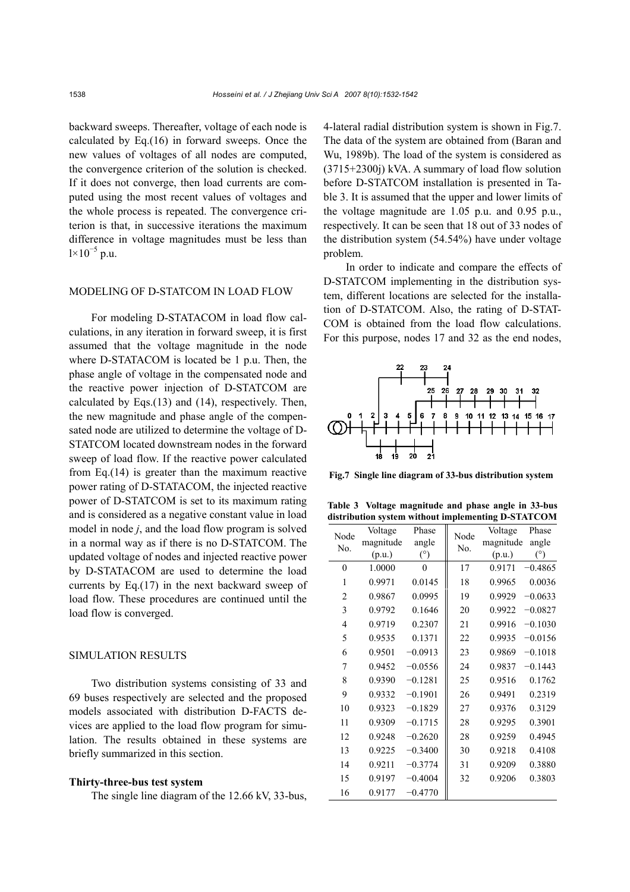backward sweeps. Thereafter, voltage of each node is calculated by Eq.(16) in forward sweeps. Once the new values of voltages of all nodes are computed, the convergence criterion of the solution is checked. If it does not converge, then load currents are computed using the most recent values of voltages and the whole process is repeated. The convergence criterion is that, in successive iterations the maximum difference in voltage magnitudes must be less than  $1 \times 10^{-5}$  p.u.

## MODELING OF D-STATCOM IN LOAD FLOW

For modeling D-STATACOM in load flow calculations, in any iteration in forward sweep, it is first assumed that the voltage magnitude in the node where D-STATACOM is located be 1 p.u. Then, the phase angle of voltage in the compensated node and the reactive power injection of D-STATCOM are calculated by Eqs.(13) and (14), respectively. Then, the new magnitude and phase angle of the compensated node are utilized to determine the voltage of D-STATCOM located downstream nodes in the forward sweep of load flow. If the reactive power calculated from Eq.(14) is greater than the maximum reactive power rating of D-STATACOM, the injected reactive power of D-STATCOM is set to its maximum rating and is considered as a negative constant value in load model in node *j*, and the load flow program is solved in a normal way as if there is no D-STATCOM. The updated voltage of nodes and injected reactive power by D-STATACOM are used to determine the load currents by Eq.(17) in the next backward sweep of load flow. These procedures are continued until the load flow is converged.

# SIMULATION RESULTS

Two distribution systems consisting of 33 and 69 buses respectively are selected and the proposed models associated with distribution D-FACTS devices are applied to the load flow program for simulation. The results obtained in these systems are briefly summarized in this section.

# **Thirty-three-bus test system**

The single line diagram of the 12.66 kV, 33-bus,

4-lateral radial distribution system is shown in Fig.7. The data of the system are obtained from (Baran and Wu, 1989b). The load of the system is considered as (3715+2300j) kVA. A summary of load flow solution before D-STATCOM installation is presented in Table 3. It is assumed that the upper and lower limits of the voltage magnitude are 1.05 p.u. and 0.95 p.u., respectively. It can be seen that 18 out of 33 nodes of the distribution system (54.54%) have under voltage problem.

In order to indicate and compare the effects of D-STATCOM implementing in the distribution system, different locations are selected for the installation of D-STATCOM. Also, the rating of D-STAT-COM is obtained from the load flow calculations. For this purpose, nodes 17 and 32 as the end nodes,



**Fig.7 Single line diagram of 33-bus distribution system**

**Table 3 Voltage magnitude and phase angle in 33-bus distribution system without implementing D-STATCOM**

| Node           | Voltage   | Phase     | Node | Voltage   | Phase     |
|----------------|-----------|-----------|------|-----------|-----------|
| No.            | magnitude | angle     | No.  | magnitude | angle     |
|                | (p.u.)    | (°)       |      | (p.u.)    | (°)       |
| $\theta$       | 1.0000    | $\theta$  | 17   | 0.9171    | $-0.4865$ |
| 1              | 0.9971    | 0.0145    | 18   | 0.9965    | 0.0036    |
| $\overline{2}$ | 0.9867    | 0.0995    | 19   | 0.9929    | $-0.0633$ |
| 3              | 0.9792    | 0.1646    | 20   | 0.9922    | $-0.0827$ |
| 4              | 0.9719    | 0.2307    | 21   | 0.9916    | $-0.1030$ |
| 5              | 0.9535    | 0.1371    | 22   | 0.9935    | $-0.0156$ |
| 6              | 0.9501    | $-0.0913$ | 23   | 0.9869    | $-0.1018$ |
| 7              | 0.9452    | $-0.0556$ | 24   | 0.9837    | $-0.1443$ |
| 8              | 0.9390    | $-0.1281$ | 25   | 0.9516    | 0.1762    |
| 9              | 0.9332    | $-0.1901$ | 26   | 0.9491    | 0.2319    |
| 10             | 0.9323    | $-0.1829$ | 27   | 0.9376    | 0.3129    |
| 11             | 0.9309    | $-0.1715$ | 28   | 0.9295    | 0.3901    |
| 12             | 0.9248    | $-0.2620$ | 28   | 0.9259    | 0.4945    |
| 13             | 0.9225    | $-0.3400$ | 30   | 0.9218    | 0.4108    |
| 14             | 0.9211    | $-0.3774$ | 31   | 0.9209    | 0.3880    |
| 15             | 0.9197    | $-0.4004$ | 32   | 0.9206    | 0.3803    |
| 16             | 0.9177    | $-0.4770$ |      |           |           |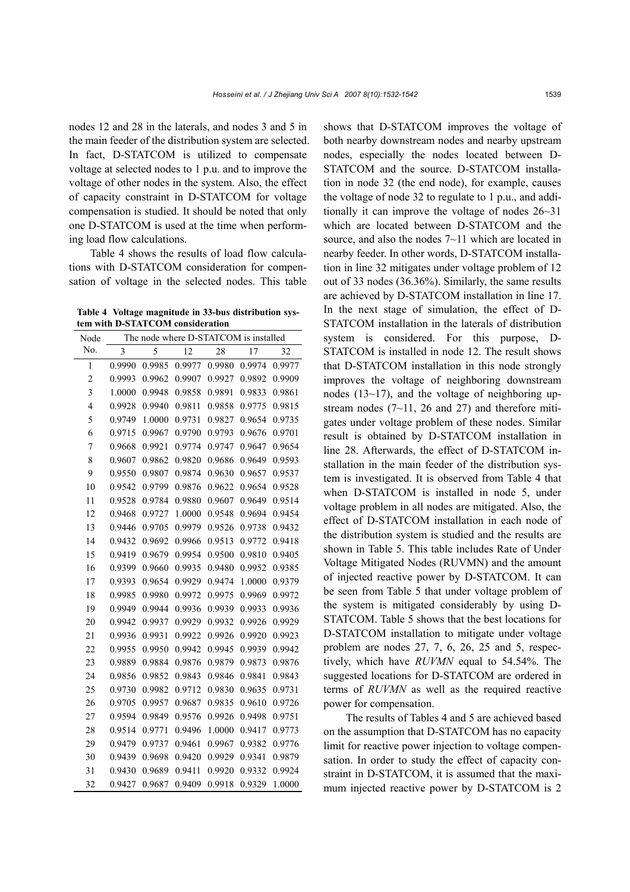nodes 12 and 28 in the laterals, and nodes 3 and 5 in the main feeder of the distribution system are selected. In fact, D-STATCOM is utilized to compensate voltage at selected nodes to 1 p.u. and to improve the voltage of other nodes in the system. Also, the effect of capacity constraint in D-STATCOM for voltage compensation is studied. It should be noted that only one D-STATCOM is used at the time when performing load flow calculations.

Table 4 shows the results of load flow calculations with D-STATCOM consideration for compensation of voltage in the selected nodes. This table

**Table 4 Voltage magnitude in 33-bus distribution system with D-STATCOM consideration**

| Node           |        |        |        | The node where D-STATCOM is installed |        |        |  |  |  |  |
|----------------|--------|--------|--------|---------------------------------------|--------|--------|--|--|--|--|
| No.            | 3      | 5      | 12     | 28                                    | 17     | 32     |  |  |  |  |
| 1              | 0.9990 | 0.9985 | 0.9977 | 0.9980                                | 0.9974 | 0.9977 |  |  |  |  |
| $\overline{c}$ | 0.9993 | 0.9962 | 0.9907 | 0.9927                                | 0.9892 | 0.9909 |  |  |  |  |
| 3              | 1.0000 | 0.9948 | 0.9858 | 0.9891                                | 0.9833 | 0.9861 |  |  |  |  |
| $\overline{4}$ | 0.9928 | 0.9940 | 0.9811 | 0.9858                                | 0.9775 | 0.9815 |  |  |  |  |
| 5              | 0.9749 | 1.0000 | 0.9731 | 0.9827                                | 0.9654 | 0.9735 |  |  |  |  |
| 6              | 0.9715 | 0.9967 | 0.9790 | 0.9793                                | 0.9676 | 0.9701 |  |  |  |  |
| 7              | 0.9668 | 0.9921 | 0.9774 | 0.9747                                | 0.9647 | 0.9654 |  |  |  |  |
| 8              | 0.9607 | 0.9862 | 0.9820 | 0.9686                                | 0.9649 | 0.9593 |  |  |  |  |
| 9              | 0.9550 | 0.9807 | 0.9874 | 0.9630                                | 0.9657 | 0.9537 |  |  |  |  |
| 10             | 0.9542 | 0.9799 | 0.9876 | 0.9622                                | 0.9654 | 0.9528 |  |  |  |  |
| 11             | 0.9528 | 0.9784 | 0.9880 | 0.9607                                | 0.9649 | 0.9514 |  |  |  |  |
| 12             | 0.9468 | 0.9727 | 1.0000 | 0.9548                                | 0.9694 | 0.9454 |  |  |  |  |
| 13             | 0.9446 | 0.9705 | 0.9979 | 0.9526                                | 0.9738 | 0.9432 |  |  |  |  |
| 14             | 0.9432 | 0.9692 | 0.9966 | 0.9513                                | 0.9772 | 0.9418 |  |  |  |  |
| 15             | 0.9419 | 0.9679 | 0.9954 | 0.9500                                | 0.9810 | 0.9405 |  |  |  |  |
| 16             | 0.9399 | 0.9660 | 0.9935 | 0.9480                                | 0.9952 | 0.9385 |  |  |  |  |
| 17             | 0.9393 | 0.9654 | 0.9929 | 0.9474                                | 1.0000 | 0.9379 |  |  |  |  |
| 18             | 0.9985 | 0.9980 | 0.9972 | 0.9975                                | 0.9969 | 0.9972 |  |  |  |  |
| 19             | 0.9949 | 0.9944 | 0.9936 | 0.9939                                | 0.9933 | 0.9936 |  |  |  |  |
| 20             | 0.9942 | 0.9937 | 0.9929 | 0.9932                                | 0.9926 | 0.9929 |  |  |  |  |
| 21             | 0.9936 | 0.9931 | 0.9922 | 0.9926                                | 0.9920 | 0.9923 |  |  |  |  |
| 22             | 0.9955 | 0.9950 | 0.9942 | 0.9945                                | 0.9939 | 0.9942 |  |  |  |  |
| 23             | 0.9889 | 0.9884 | 0.9876 | 0.9879                                | 0.9873 | 0.9876 |  |  |  |  |
| 24             | 0.9856 | 0.9852 | 0.9843 | 0.9846                                | 0.9841 | 0.9843 |  |  |  |  |
| 25             | 0.9730 | 0.9982 | 0.9712 | 0.9830                                | 0.9635 | 0.9731 |  |  |  |  |
| 26             | 0.9705 | 0.9957 | 0.9687 | 0.9835                                | 0.9610 | 0.9726 |  |  |  |  |
| 27             | 0.9594 | 0.9849 | 0.9576 | 0.9926                                | 0.9498 | 0.9751 |  |  |  |  |
| 28             | 0.9514 | 0.9771 | 0.9496 | 1.0000                                | 0.9417 | 0.9773 |  |  |  |  |
| 29             | 0.9479 | 0.9737 | 0.9461 | 0.9967                                | 0.9382 | 0.9776 |  |  |  |  |
| 30             | 0.9439 | 0.9698 | 0.9420 | 0.9929                                | 0.9341 | 0.9879 |  |  |  |  |
| 31             | 0.9430 | 0.9689 | 0.9411 | 0.9920                                | 0.9332 | 0.9924 |  |  |  |  |
| 32             | 0.9427 | 0.9687 | 0.9409 | 0.9918                                | 0.9329 | 1.0000 |  |  |  |  |

shows that D-STATCOM improves the voltage of both nearby downstream nodes and nearby upstream nodes, especially the nodes located between D-STATCOM and the source. D-STATCOM installation in node 32 (the end node), for example, causes the voltage of node 32 to regulate to 1 p.u., and additionally it can improve the voltage of nodes 26~31 which are located between D-STATCOM and the source, and also the nodes  $7{\sim}11$  which are located in nearby feeder. In other words, D-STATCOM installation in line 32 mitigates under voltage problem of 12 out of 33 nodes (36.36%). Similarly, the same results are achieved by D-STATCOM installation in line 17. In the next stage of simulation, the effect of D-STATCOM installation in the laterals of distribution system is considered. For this purpose, D-STATCOM is installed in node 12. The result shows that D-STATCOM installation in this node strongly improves the voltage of neighboring downstream nodes (13~17), and the voltage of neighboring upstream nodes  $(7\neg 11, 26$  and 27) and therefore mitigates under voltage problem of these nodes. Similar result is obtained by D-STATCOM installation in line 28. Afterwards, the effect of D-STATCOM installation in the main feeder of the distribution system is investigated. It is observed from Table 4 that when D-STATCOM is installed in node 5, under voltage problem in all nodes are mitigated. Also, the effect of D-STATCOM installation in each node of the distribution system is studied and the results are shown in Table 5. This table includes Rate of Under Voltage Mitigated Nodes (RUVMN) and the amount of injected reactive power by D-STATCOM. It can be seen from Table 5 that under voltage problem of the system is mitigated considerably by using D-STATCOM. Table 5 shows that the best locations for D-STATCOM installation to mitigate under voltage problem are nodes 27, 7, 6, 26, 25 and 5, respectively, which have *RUVMN* equal to 54.54%. The suggested locations for D-STATCOM are ordered in terms of *RUVMN* as well as the required reactive power for compensation.

The results of Tables 4 and 5 are achieved based on the assumption that D-STATCOM has no capacity limit for reactive power injection to voltage compensation. In order to study the effect of capacity constraint in D-STATCOM, it is assumed that the maximum injected reactive power by D-STATCOM is 2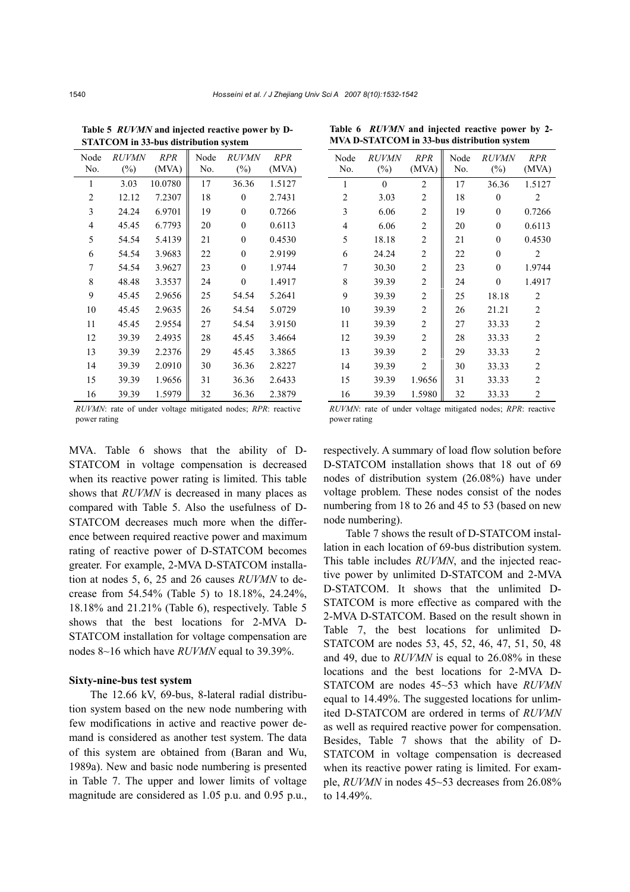| STATCOM III 99-008 GISH IDUHUI SYSICIII |                        |                     |             |                        |                     |  |  |  |  |  |  |  |
|-----------------------------------------|------------------------|---------------------|-------------|------------------------|---------------------|--|--|--|--|--|--|--|
| Node<br>No.                             | <i>RUVMN</i><br>$(\%)$ | <b>RPR</b><br>(MVA) | Node<br>No. | <i>RUVMN</i><br>$(\%)$ | <b>RPR</b><br>(MVA) |  |  |  |  |  |  |  |
| 1                                       | 3.03                   | 10.0780             | 17          | 36.36                  | 1.5127              |  |  |  |  |  |  |  |
| $\overline{2}$                          | 12.12                  | 7.2307              | 18          | $\boldsymbol{0}$       | 2.7431              |  |  |  |  |  |  |  |
| 3                                       | 24.24                  | 6.9701              | 19          | $\overline{0}$         | 0.7266              |  |  |  |  |  |  |  |
| $\overline{4}$                          | 45.45                  | 6.7793              | 20          | $\boldsymbol{0}$       | 0.6113              |  |  |  |  |  |  |  |
| 5                                       | 54.54                  | 5.4139              | 21          | $\overline{0}$         | 0.4530              |  |  |  |  |  |  |  |
| 6                                       | 54.54                  | 3.9683              | 22          | $\overline{0}$         | 2.9199              |  |  |  |  |  |  |  |
| 7                                       | 54.54                  | 3.9627              | 23          | $\overline{0}$         | 1.9744              |  |  |  |  |  |  |  |
| 8                                       | 48.48                  | 3.3537              | 24          | $\overline{0}$         | 1.4917              |  |  |  |  |  |  |  |
| 9                                       | 45.45                  | 2.9656              | 25          | 54.54                  | 5.2641              |  |  |  |  |  |  |  |
| 10                                      | 45.45                  | 2.9635              | 26          | 54.54                  | 5.0729              |  |  |  |  |  |  |  |
| 11                                      | 45.45                  | 2.9554              | 27          | 54.54                  | 3.9150              |  |  |  |  |  |  |  |
| 12                                      | 39.39                  | 2.4935              | 28          | 45.45                  | 3.4664              |  |  |  |  |  |  |  |
| 13                                      | 39.39                  | 2.2376              | 29          | 45.45                  | 3.3865              |  |  |  |  |  |  |  |
| 14                                      | 39.39                  | 2.0910              | 30          | 36.36                  | 2.8227              |  |  |  |  |  |  |  |
| 15                                      | 39.39                  | 1.9656              | 31          | 36.36                  | 2.6433              |  |  |  |  |  |  |  |
| 16                                      | 39.39                  | 1.5979              | 32          | 36.36                  | 2.3879              |  |  |  |  |  |  |  |

**Table 5** *RUVMN* **and injected reactive power by D-STATCOM in 33-bus distribution system** 

*RUVMN*: rate of under voltage mitigated nodes; *RPR*: reactive power rating

MVA. Table 6 shows that the ability of D-STATCOM in voltage compensation is decreased when its reactive power rating is limited. This table shows that *RUVMN* is decreased in many places as compared with Table 5. Also the usefulness of D-STATCOM decreases much more when the difference between required reactive power and maximum rating of reactive power of D-STATCOM becomes greater. For example, 2-MVA D-STATCOM installation at nodes 5, 6, 25 and 26 causes *RUVMN* to decrease from 54.54% (Table 5) to 18.18%, 24.24%, 18.18% and 21.21% (Table 6), respectively. Table 5 shows that the best locations for 2-MVA D-STATCOM installation for voltage compensation are nodes 8~16 which have *RUVMN* equal to 39.39%.

#### **Sixty-nine-bus test system**

The 12.66 kV, 69-bus, 8-lateral radial distribution system based on the new node numbering with few modifications in active and reactive power demand is considered as another test system. The data of this system are obtained from (Baran and Wu, 1989a). New and basic node numbering is presented in Table 7. The upper and lower limits of voltage magnitude are considered as 1.05 p.u. and 0.95 p.u.,

| Node<br>No.    | <i>RUVMN</i><br>$(\%)$ | <b>RPR</b><br>(MVA) | Node<br>No. | <b>RUVMN</b><br>$(\%)$ | <b>RPR</b><br>(MVA) |
|----------------|------------------------|---------------------|-------------|------------------------|---------------------|
| 1              | $\mathbf{0}$           | 2                   | 17          | 36.36                  | 1.5127              |
| $\overline{2}$ | 3.03                   | 2                   | 18          | $\mathbf{0}$           | $\overline{2}$      |
| 3              | 6.06                   | $\overline{c}$      | 19          | $\theta$               | 0.7266              |
| $\overline{4}$ | 6.06                   | $\overline{c}$      | 20          | $\mathbf{0}$           | 0.6113              |
| 5              | 18.18                  | $\overline{2}$      | 21          | $\theta$               | 0.4530              |
| 6              | 24.24                  | $\overline{2}$      | 22          | $\theta$               | 2                   |
| 7              | 30.30                  | $\overline{c}$      | 23          | $\overline{0}$         | 1.9744              |
| 8              | 39.39                  | $\overline{c}$      | 24          | $\mathbf{0}$           | 1.4917              |
| 9              | 39.39                  | $\overline{c}$      | 25          | 18.18                  | 2                   |
| 10             | 39.39                  | $\overline{c}$      | 26          | 21.21                  | $\overline{2}$      |
| 11             | 39.39                  | $\overline{c}$      | 27          | 33.33                  | $\overline{2}$      |
| 12             | 39.39                  | $\overline{c}$      | 28          | 33.33                  | $\overline{2}$      |
| 13             | 39.39                  | $\overline{c}$      | 29          | 33.33                  | $\overline{2}$      |
| 14             | 39.39                  | $\overline{2}$      | 30          | 33.33                  | $\overline{2}$      |
| 15             | 39.39                  | 1.9656              | 31          | 33.33                  | 2                   |
| 16             | 39.39                  | 1.5980              | 32          | 33.33                  | $\overline{2}$      |

**Table 6** *RUVMN* **and injected reactive power by 2- MVA D-STATCOM in 33-bus distribution system** 

*RUVMN*: rate of under voltage mitigated nodes; *RPR*: reactive power rating

respectively. A summary of load flow solution before D-STATCOM installation shows that 18 out of 69 nodes of distribution system (26.08%) have under voltage problem. These nodes consist of the nodes numbering from 18 to 26 and 45 to 53 (based on new node numbering).

Table 7 shows the result of D-STATCOM installation in each location of 69-bus distribution system. This table includes *RUVMN*, and the injected reactive power by unlimited D-STATCOM and 2-MVA D-STATCOM. It shows that the unlimited D-STATCOM is more effective as compared with the 2-MVA D-STATCOM. Based on the result shown in Table 7, the best locations for unlimited D-STATCOM are nodes 53, 45, 52, 46, 47, 51, 50, 48 and 49, due to *RUVMN* is equal to 26.08% in these locations and the best locations for 2-MVA D-STATCOM are nodes 45~53 which have *RUVMN* equal to 14.49%. The suggested locations for unlimited D-STATCOM are ordered in terms of *RUVMN* as well as required reactive power for compensation. Besides, Table 7 shows that the ability of D-STATCOM in voltage compensation is decreased when its reactive power rating is limited. For example, *RUVMN* in nodes 45~53 decreases from 26.08% to 14.49%.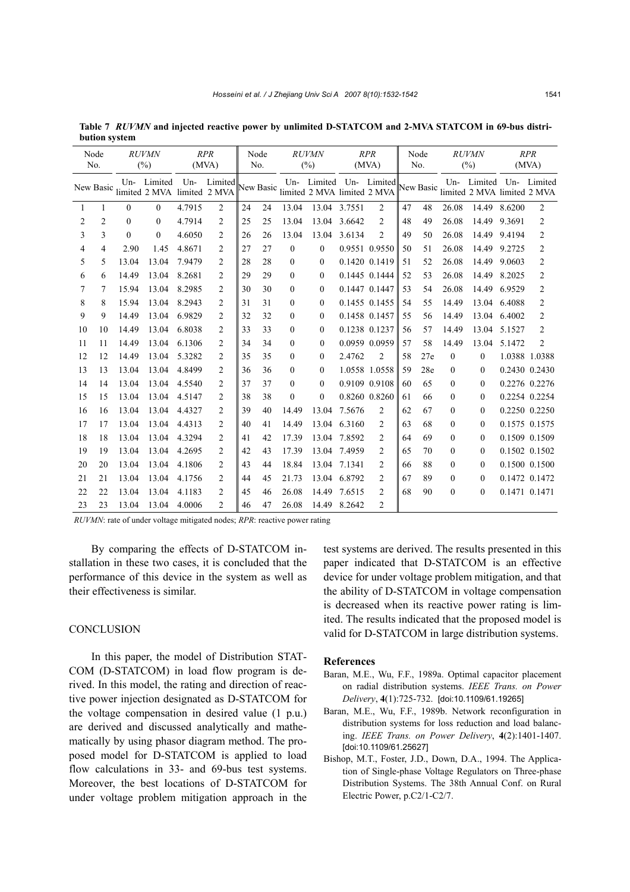| Node<br>No. |                |          | <b>RUVMN</b><br>(%)                        |        | <b>RPR</b><br>(MVA) |    | Node<br>No. |              | <b>RUVMN</b><br>(%)                   |               | RPR<br>(MVA)            |     | Node<br>No. |              | <b>RUVMN</b><br>(%)                                              |               | <b>RPR</b><br>(MVA) |  |
|-------------|----------------|----------|--------------------------------------------|--------|---------------------|----|-------------|--------------|---------------------------------------|---------------|-------------------------|-----|-------------|--------------|------------------------------------------------------------------|---------------|---------------------|--|
|             | New Basic      |          | Un- Limited<br>limited 2 MVA limited 2 MVA |        | Un- Limited         |    |             |              | New Basic limited 2 MVA limited 2 MVA |               | Un- Limited Un- Limited |     |             |              | Un- Limited Un- Limited<br>New Basic limited 2 MVA limited 2 MVA |               |                     |  |
| 1           | 1              | $\theta$ | $\theta$                                   | 4.7915 | $\overline{2}$      | 24 | 24          | 13.04        | 13.04                                 | 3.7551        | $\overline{2}$          | 47  | 48          | 26.08        | 14.49                                                            | 8.6200        | $\overline{c}$      |  |
| 2           | $\overline{2}$ | $\theta$ | $\theta$                                   | 4.7914 | $\overline{c}$      | 25 | 25          | 13.04        | 13.04                                 | 3.6642        | $\overline{2}$          | 48  | 49          | 26.08        | 14.49                                                            | 9.3691        | $\overline{c}$      |  |
| 3           | 3              | $\theta$ | $\theta$                                   | 4.6050 | $\overline{c}$      | 26 | 26          | 13.04        | 13.04                                 | 3.6134        | $\overline{2}$          | 49  | 50          | 26.08        | 14.49                                                            | 9.4194        | $\overline{c}$      |  |
| 4           | 4              | 2.90     | 1.45                                       | 4.8671 | 2                   | 27 | 27          | $\theta$     | $\overline{0}$                        | 0.9551 0.9550 |                         | 50  | 51          | 26.08        | 14.49                                                            | 9.2725        | 2                   |  |
| 5           | 5              | 13.04    | 13.04                                      | 7.9479 | $\overline{c}$      | 28 | 28          | $\theta$     | 0                                     | 0.1420 0.1419 |                         | 51  | 52          | 26.08        | 14.49                                                            | 9.0603        | $\overline{c}$      |  |
| 6           | 6              | 14.49    | 13.04                                      | 8.2681 | 2                   | 29 | 29          | $\theta$     | $\mathbf{0}$                          |               | 0.1445 0.1444           | 52  | 53          | 26.08        | 14.49                                                            | 8.2025        | $\overline{c}$      |  |
| 7           | 7              | 15.94    | 13.04                                      | 8.2985 | $\overline{c}$      | 30 | 30          | $\theta$     | 0                                     | 0.1447 0.1447 |                         | 53  | 54          | 26.08        | 14.49                                                            | 6.9529        | $\overline{c}$      |  |
| 8           | 8              | 15.94    | 13.04                                      | 8.2943 | 2                   | 31 | 31          | $\theta$     | 0                                     | 0.1455 0.1455 |                         | 54  | 55          | 14.49        | 13.04                                                            | 6.4088        | $\overline{c}$      |  |
| 9           | 9              | 14.49    | 13.04                                      | 6.9829 | $\overline{c}$      | 32 | 32          | $\mathbf{0}$ | $\mathbf{0}$                          | 0.1458 0.1457 |                         | 55  | 56          | 14.49        | 13.04                                                            | 6.4002        | $\overline{c}$      |  |
| 10          | 10             | 14.49    | 13.04                                      | 6.8038 | $\overline{c}$      | 33 | 33          | $\theta$     | 0                                     | 0.1238 0.1237 |                         | .56 | 57          | 14.49        | 13.04                                                            | 5.1527        | $\overline{2}$      |  |
| 11          | 11             | 14.49    | 13.04                                      | 6.1306 | $\overline{c}$      | 34 | 34          | $\Omega$     | $\Omega$                              | 0.0959 0.0959 |                         | 57  | 58          | 14.49        | 13.04                                                            | 5.1472        | $\overline{2}$      |  |
| 12          | 12             | 14.49    | 13.04                                      | 5.3282 | 2                   | 35 | 35          | $\Omega$     | $\theta$                              | 2.4762        | $\overline{c}$          | 58  | 27e         | $\Omega$     | $\Omega$                                                         |               | 1.0388 1.0388       |  |
| 13          | 13             | 13.04    | 13.04                                      | 4.8499 | 2                   | 36 | 36          | $\mathbf{0}$ | $\mathbf{0}$                          |               | 1.0558 1.0558           | 59  | 28e         | $\Omega$     | $\Omega$                                                         |               | 0.2430 0.2430       |  |
| 14          | 14             | 13.04    | 13.04                                      | 4.5540 | 2                   | 37 | 37          | $\Omega$     | $\theta$                              | 0.9109 0.9108 |                         | 60  | 65          | $\Omega$     | $\Omega$                                                         |               | 0.2276 0.2276       |  |
| 15          | 15             | 13.04    | 13.04                                      | 4.5147 | $\overline{c}$      | 38 | 38          | $\theta$     | $\theta$                              | 0.8260 0.8260 |                         | 61  | 66          | $\Omega$     | $\Omega$                                                         |               | 0.2254 0.2254       |  |
| 16          | 16             | 13.04    | 13.04                                      | 4.4327 | $\overline{c}$      | 39 | 40          | 14.49        | 13.04                                 | 7.5676        | $\overline{2}$          | 62  | 67          | $\Omega$     | $\theta$                                                         |               | 0.2250 0.2250       |  |
| 17          | 17             | 13.04    | 13.04                                      | 4.4313 | 2                   | 40 | 41          | 14.49        | 13.04                                 | 6.3160        | $\overline{c}$          | 63  | 68          | $\mathbf{0}$ | $\Omega$                                                         |               | 0.1575 0.1575       |  |
| 18          | 18             | 13.04    | 13.04                                      | 4.3294 | 2                   | 41 | 42          | 17.39        | 13.04                                 | 7.8592        | $\overline{2}$          | 64  | 69          | $\Omega$     | $\Omega$                                                         |               | 0.1509 0.1509       |  |
| 19          | 19             | 13.04    | 13.04                                      | 4.2695 | 2                   | 42 | 43          | 17.39        | 13.04                                 | 7.4959        | $\overline{c}$          | 65  | 70          | $\Omega$     | $\Omega$                                                         |               | 0.1502 0.1502       |  |
| 20          | 20             | 13.04    | 13.04                                      | 4.1806 | $\overline{c}$      | 43 | 44          | 18.84        | 13.04                                 | 7.1341        | $\overline{c}$          | 66  | 88          | $\theta$     | $\theta$                                                         |               | 0.1500 0.1500       |  |
| 21          | 21             | 13.04    | 13.04                                      | 4.1756 | 2                   | 44 | 45          | 21.73        | 13.04                                 | 6.8792        | $\overline{2}$          | 67  | 89          | $\mathbf{0}$ | $\Omega$                                                         |               | 0.1472 0.1472       |  |
| 22          | 22             | 13.04    | 13.04                                      | 4.1183 | $\overline{c}$      | 45 | 46          | 26.08        | 14.49                                 | 7.6515        | $\overline{2}$          | 68  | 90          | $\theta$     | $\Omega$                                                         | 0.1471 0.1471 |                     |  |
| 23          | 23             | 13.04    | 13.04                                      | 4.0006 | 2                   | 46 | 47          | 26.08        | 14.49                                 | 8.2642        | $\overline{2}$          |     |             |              |                                                                  |               |                     |  |

**Table 7** *RUVMN* **and injected reactive power by unlimited D-STATCOM and 2-MVA STATCOM in 69-bus distribution system** 

*RUVMN*: rate of under voltage mitigated nodes; *RPR*: reactive power rating

By comparing the effects of D-STATCOM installation in these two cases, it is concluded that the performance of this device in the system as well as their effectiveness is similar.

#### **CONCLUSION**

In this paper, the model of Distribution STAT-COM (D-STATCOM) in load flow program is derived. In this model, the rating and direction of reactive power injection designated as D-STATCOM for the voltage compensation in desired value (1 p.u.) are derived and discussed analytically and mathematically by using phasor diagram method. The proposed model for D-STATCOM is applied to load flow calculations in 33- and 69-bus test systems. Moreover, the best locations of D-STATCOM for under voltage problem mitigation approach in the test systems are derived. The results presented in this paper indicated that D-STATCOM is an effective device for under voltage problem mitigation, and that the ability of D-STATCOM in voltage compensation is decreased when its reactive power rating is limited. The results indicated that the proposed model is valid for D-STATCOM in large distribution systems.

## **References**

- Baran, M.E., Wu, F.F., 1989a. Optimal capacitor placement on radial distribution systems. *IEEE Trans. on Power Delivery*, **4**(1):725-732. [doi:10.1109/61.19265]
- Baran, M.E., Wu, F.F., 1989b. Network reconfiguration in distribution systems for loss reduction and load balancing. *IEEE Trans. on Power Delivery*, **4**(2):1401-1407. [doi:10.1109/61.25627]
- Bishop, M.T., Foster, J.D., Down, D.A., 1994. The Application of Single-phase Voltage Regulators on Three-phase Distribution Systems. The 38th Annual Conf. on Rural Electric Power, p.C2/1-C2/7.